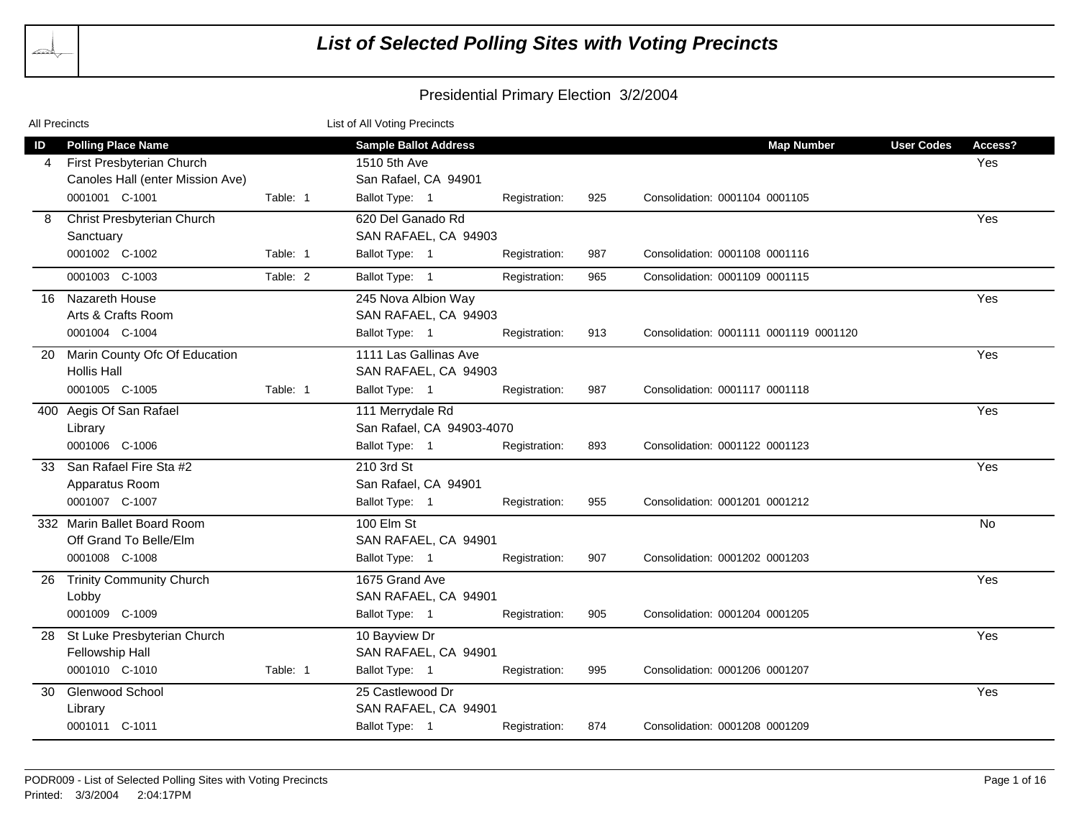

| All Precincts                                                                                                                       | List of All Voting Precincts                                                                                                                                          |                                     |
|-------------------------------------------------------------------------------------------------------------------------------------|-----------------------------------------------------------------------------------------------------------------------------------------------------------------------|-------------------------------------|
| <b>Polling Place Name</b><br>ID<br>First Presbyterian Church<br>4<br>Canoles Hall (enter Mission Ave)<br>0001001 C-1001<br>Table: 1 | <b>Sample Ballot Address</b><br><b>Map Number</b><br>1510 5th Ave<br>San Rafael, CA 94901<br>Ballot Type: 1<br>Registration:<br>925<br>Consolidation: 0001104 0001105 | <b>User Codes</b><br>Access?<br>Yes |
| Christ Presbyterian Church<br>Sanctuary<br>0001002 C-1002<br>Table: 1                                                               | 620 Del Ganado Rd<br>SAN RAFAEL, CA 94903<br>Ballot Type: 1<br>987<br>Consolidation: 0001108 0001116<br>Registration:                                                 | Yes                                 |
| 0001003 C-1003<br>Table: 2                                                                                                          | Ballot Type: 1<br>965<br>Registration:<br>Consolidation: 0001109 0001115                                                                                              |                                     |
| Nazareth House<br>16<br>Arts & Crafts Room<br>0001004 C-1004                                                                        | 245 Nova Albion Way<br>SAN RAFAEL, CA 94903<br>Ballot Type: 1<br>913<br>Consolidation: 0001111 0001119 0001120<br>Registration:                                       | Yes                                 |
| Marin County Ofc Of Education<br>20<br><b>Hollis Hall</b><br>0001005 C-1005<br>Table: 1                                             | 1111 Las Gallinas Ave<br>SAN RAFAEL, CA 94903<br>Ballot Type: 1<br>987<br>Consolidation: 0001117 0001118<br>Registration:                                             | Yes                                 |
| 400 Aegis Of San Rafael<br>Library<br>0001006 C-1006                                                                                | 111 Merrydale Rd<br>San Rafael, CA 94903-4070<br>Ballot Type: 1<br>893<br>Consolidation: 0001122 0001123<br>Registration:                                             | Yes                                 |
| San Rafael Fire Sta #2<br>33<br>Apparatus Room<br>0001007 C-1007                                                                    | 210 3rd St<br>San Rafael, CA 94901<br>Ballot Type: 1<br>955<br>Consolidation: 0001201 0001212<br>Registration:                                                        | Yes                                 |
| 332 Marin Ballet Board Room<br>Off Grand To Belle/Elm<br>0001008 C-1008                                                             | 100 Elm St<br>SAN RAFAEL, CA 94901<br>Ballot Type: 1<br>907<br>Registration:<br>Consolidation: 0001202 0001203                                                        | No.                                 |
| <b>Trinity Community Church</b><br>26<br>Lobby<br>0001009 C-1009                                                                    | 1675 Grand Ave<br>SAN RAFAEL, CA 94901<br>Ballot Type: 1<br>905<br>Consolidation: 0001204 0001205<br>Registration:                                                    | Yes                                 |
| St Luke Presbyterian Church<br>28<br>Fellowship Hall<br>0001010 C-1010<br>Table: 1                                                  | 10 Bayview Dr<br>SAN RAFAEL, CA 94901<br>Ballot Type: 1<br>995<br>Consolidation: 0001206 0001207<br>Registration:                                                     | Yes                                 |
| <b>Glenwood School</b><br>30<br>Library<br>0001011 C-1011                                                                           | 25 Castlewood Dr<br>SAN RAFAEL, CA 94901<br>Ballot Type: 1<br>Registration:<br>874<br>Consolidation: 0001208 0001209                                                  | Yes                                 |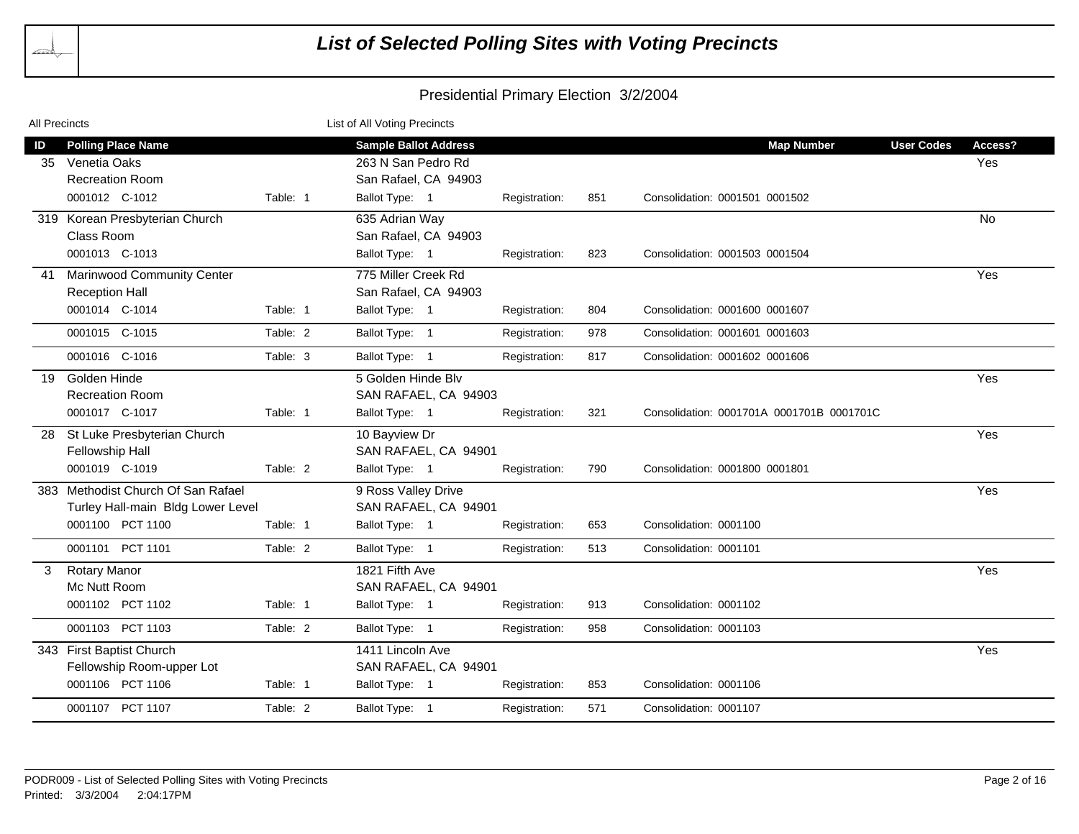

| All Precincts |                                    |          | List of All Voting Precincts |               |     |                                           |                   |           |
|---------------|------------------------------------|----------|------------------------------|---------------|-----|-------------------------------------------|-------------------|-----------|
| ID            | <b>Polling Place Name</b>          |          | <b>Sample Ballot Address</b> |               |     | <b>Map Number</b>                         | <b>User Codes</b> | Access?   |
| 35            | Venetia Oaks                       |          | 263 N San Pedro Rd           |               |     |                                           |                   | Yes       |
|               | <b>Recreation Room</b>             |          | San Rafael, CA 94903         |               |     |                                           |                   |           |
|               | 0001012 C-1012                     | Table: 1 | Ballot Type: 1               | Registration: | 851 | Consolidation: 0001501 0001502            |                   |           |
|               | 319 Korean Presbyterian Church     |          | 635 Adrian Way               |               |     |                                           |                   | <b>No</b> |
|               | Class Room                         |          | San Rafael, CA 94903         |               |     |                                           |                   |           |
|               | 0001013 C-1013                     |          | Ballot Type: 1               | Registration: | 823 | Consolidation: 0001503 0001504            |                   |           |
|               | 41 Marinwood Community Center      |          | 775 Miller Creek Rd          |               |     |                                           |                   | Yes       |
|               | <b>Reception Hall</b>              |          | San Rafael, CA 94903         |               |     |                                           |                   |           |
|               | 0001014 C-1014                     | Table: 1 | Ballot Type: 1               | Registration: | 804 | Consolidation: 0001600 0001607            |                   |           |
|               | 0001015 C-1015                     | Table: 2 | Ballot Type: 1               | Registration: | 978 | Consolidation: 0001601 0001603            |                   |           |
|               | 0001016 C-1016                     | Table: 3 | Ballot Type: 1               | Registration: | 817 | Consolidation: 0001602 0001606            |                   |           |
| 19            | Golden Hinde                       |          | 5 Golden Hinde Blv           |               |     |                                           |                   | Yes       |
|               | <b>Recreation Room</b>             |          | SAN RAFAEL, CA 94903         |               |     |                                           |                   |           |
|               | 0001017 C-1017                     | Table: 1 | Ballot Type: 1               | Registration: | 321 | Consolidation: 0001701A 0001701B 0001701C |                   |           |
| 28            | St Luke Presbyterian Church        |          | 10 Bayview Dr                |               |     |                                           |                   | Yes       |
|               | Fellowship Hall                    |          | SAN RAFAEL, CA 94901         |               |     |                                           |                   |           |
|               | 0001019 C-1019                     | Table: 2 | Ballot Type: 1               | Registration: | 790 | Consolidation: 0001800 0001801            |                   |           |
|               | 383 Methodist Church Of San Rafael |          | 9 Ross Valley Drive          |               |     |                                           |                   | Yes       |
|               | Turley Hall-main Bldg Lower Level  |          | SAN RAFAEL, CA 94901         |               |     |                                           |                   |           |
|               | 0001100 PCT 1100                   | Table: 1 | Ballot Type: 1               | Registration: | 653 | Consolidation: 0001100                    |                   |           |
|               | 0001101 PCT 1101                   | Table: 2 | Ballot Type: 1               | Registration: | 513 | Consolidation: 0001101                    |                   |           |
| 3             | <b>Rotary Manor</b>                |          | 1821 Fifth Ave               |               |     |                                           |                   | Yes       |
|               | Mc Nutt Room                       |          | SAN RAFAEL, CA 94901         |               |     |                                           |                   |           |
|               | 0001102 PCT 1102                   | Table: 1 | Ballot Type: 1               | Registration: | 913 | Consolidation: 0001102                    |                   |           |
|               | 0001103 PCT 1103                   | Table: 2 | Ballot Type: 1               | Registration: | 958 | Consolidation: 0001103                    |                   |           |
|               | 343 First Baptist Church           |          | 1411 Lincoln Ave             |               |     |                                           |                   | Yes       |
|               | Fellowship Room-upper Lot          |          | SAN RAFAEL, CA 94901         |               |     |                                           |                   |           |
|               | 0001106 PCT 1106                   | Table: 1 | Ballot Type: 1               | Registration: | 853 | Consolidation: 0001106                    |                   |           |
|               | 0001107 PCT 1107                   | Table: 2 | Ballot Type: 1               | Registration: | 571 | Consolidation: 0001107                    |                   |           |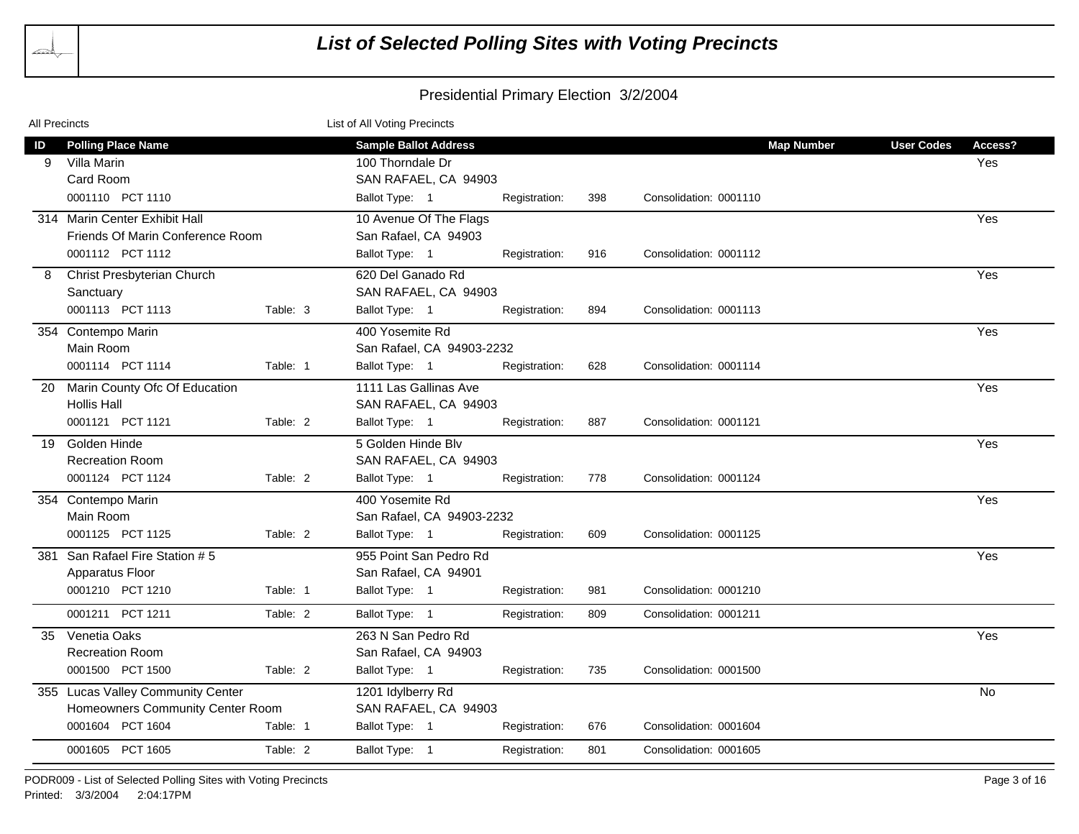|    | <b>All Precincts</b>              |          | List of All Voting Precincts |               |     |                        |                   |                   |           |
|----|-----------------------------------|----------|------------------------------|---------------|-----|------------------------|-------------------|-------------------|-----------|
| ID | <b>Polling Place Name</b>         |          | <b>Sample Ballot Address</b> |               |     |                        | <b>Map Number</b> | <b>User Codes</b> | Access?   |
| 9  | Villa Marin                       |          | 100 Thorndale Dr             |               |     |                        |                   |                   | Yes       |
|    | Card Room                         |          | SAN RAFAEL, CA 94903         |               |     |                        |                   |                   |           |
|    | 0001110 PCT 1110                  |          | Ballot Type: 1               | Registration: | 398 | Consolidation: 0001110 |                   |                   |           |
|    | 314 Marin Center Exhibit Hall     |          | 10 Avenue Of The Flags       |               |     |                        |                   |                   | Yes       |
|    | Friends Of Marin Conference Room  |          | San Rafael, CA 94903         |               |     |                        |                   |                   |           |
|    | 0001112 PCT 1112                  |          | Ballot Type: 1               | Registration: | 916 | Consolidation: 0001112 |                   |                   |           |
| 8  | Christ Presbyterian Church        |          | 620 Del Ganado Rd            |               |     |                        |                   |                   | Yes       |
|    | Sanctuary                         |          | SAN RAFAEL, CA 94903         |               |     |                        |                   |                   |           |
|    | 0001113 PCT 1113                  | Table: 3 | Ballot Type: 1               | Registration: | 894 | Consolidation: 0001113 |                   |                   |           |
|    | 354 Contempo Marin                |          | 400 Yosemite Rd              |               |     |                        |                   |                   | Yes       |
|    | Main Room                         |          | San Rafael, CA 94903-2232    |               |     |                        |                   |                   |           |
|    | 0001114 PCT 1114                  | Table: 1 | Ballot Type: 1               | Registration: | 628 | Consolidation: 0001114 |                   |                   |           |
| 20 | Marin County Ofc Of Education     |          | 1111 Las Gallinas Ave        |               |     |                        |                   |                   | Yes       |
|    | <b>Hollis Hall</b>                |          | SAN RAFAEL, CA 94903         |               |     |                        |                   |                   |           |
|    | 0001121 PCT 1121                  | Table: 2 | Ballot Type: 1               | Registration: | 887 | Consolidation: 0001121 |                   |                   |           |
|    | 19 Golden Hinde                   |          | 5 Golden Hinde Blv           |               |     |                        |                   |                   | Yes       |
|    | <b>Recreation Room</b>            |          | SAN RAFAEL, CA 94903         |               |     |                        |                   |                   |           |
|    | 0001124 PCT 1124                  | Table: 2 | Ballot Type: 1               | Registration: | 778 | Consolidation: 0001124 |                   |                   |           |
|    | 354 Contempo Marin                |          | 400 Yosemite Rd              |               |     |                        |                   |                   | Yes       |
|    | Main Room                         |          | San Rafael, CA 94903-2232    |               |     |                        |                   |                   |           |
|    | 0001125 PCT 1125                  | Table: 2 | Ballot Type: 1               | Registration: | 609 | Consolidation: 0001125 |                   |                   |           |
|    | 381 San Rafael Fire Station # 5   |          | 955 Point San Pedro Rd       |               |     |                        |                   |                   | Yes       |
|    | Apparatus Floor                   |          | San Rafael, CA 94901         |               |     |                        |                   |                   |           |
|    | 0001210 PCT 1210                  | Table: 1 | Ballot Type: 1               | Registration: | 981 | Consolidation: 0001210 |                   |                   |           |
|    | 0001211 PCT 1211                  | Table: 2 | Ballot Type: 1               | Registration: | 809 | Consolidation: 0001211 |                   |                   |           |
| 35 | Venetia Oaks                      |          | 263 N San Pedro Rd           |               |     |                        |                   |                   | Yes       |
|    | <b>Recreation Room</b>            |          | San Rafael, CA 94903         |               |     |                        |                   |                   |           |
|    | 0001500 PCT 1500                  | Table: 2 | Ballot Type: 1               | Registration: | 735 | Consolidation: 0001500 |                   |                   |           |
|    | 355 Lucas Valley Community Center |          | 1201 Idylberry Rd            |               |     |                        |                   |                   | <b>No</b> |
|    | Homeowners Community Center Room  |          | SAN RAFAEL, CA 94903         |               |     |                        |                   |                   |           |
|    | 0001604 PCT 1604                  | Table: 1 | Ballot Type: 1               | Registration: | 676 | Consolidation: 0001604 |                   |                   |           |
|    | 0001605 PCT 1605                  | Table: 2 | Ballot Type: 1               | Registration: | 801 | Consolidation: 0001605 |                   |                   |           |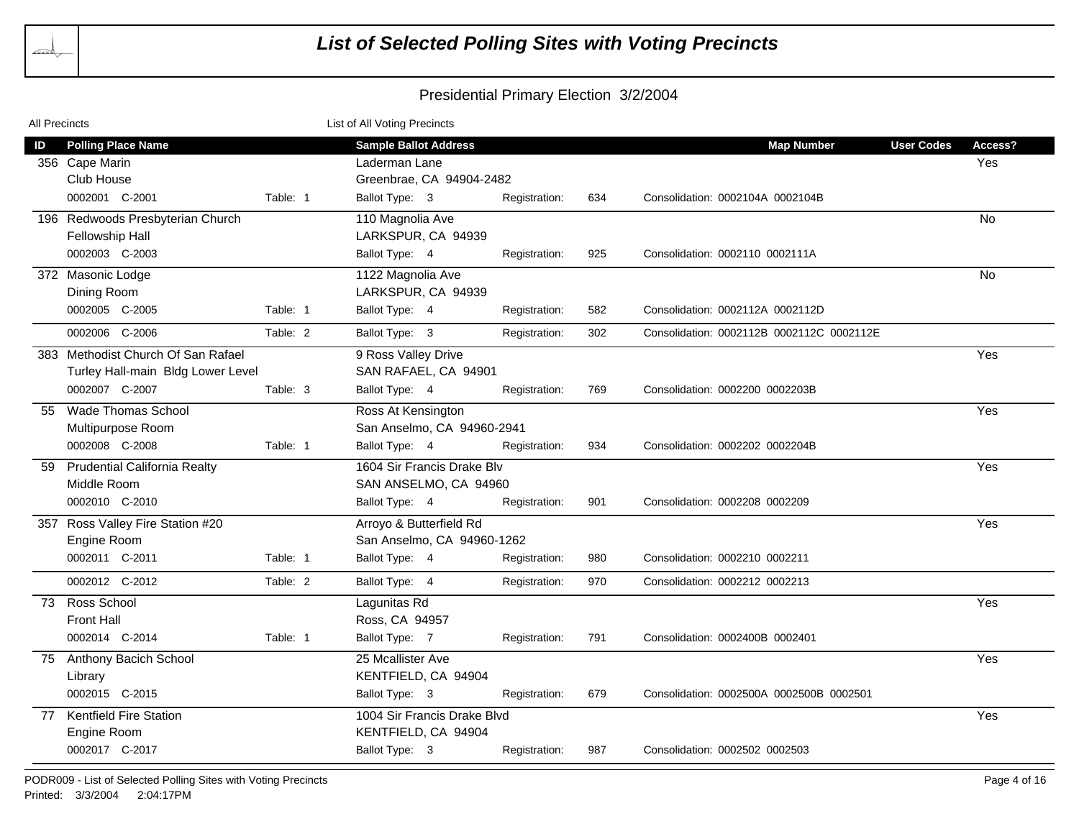| <b>All Precincts</b> |                                                                                           |          | List of All Voting Precincts                                              |               |     |                                           |                                     |
|----------------------|-------------------------------------------------------------------------------------------|----------|---------------------------------------------------------------------------|---------------|-----|-------------------------------------------|-------------------------------------|
| ID                   | <b>Polling Place Name</b><br>356 Cape Marin<br>Club House                                 |          | <b>Sample Ballot Address</b><br>Laderman Lane<br>Greenbrae, CA 94904-2482 |               |     | <b>Map Number</b>                         | <b>User Codes</b><br>Access?<br>Yes |
|                      | 0002001 C-2001                                                                            | Table: 1 | Ballot Type: 3                                                            | Registration: | 634 | Consolidation: 0002104A 0002104B          |                                     |
|                      | 196 Redwoods Presbyterian Church<br>Fellowship Hall<br>0002003 C-2003                     |          | 110 Magnolia Ave<br>LARKSPUR, CA 94939<br>Ballot Type: 4                  | Registration: | 925 | Consolidation: 0002110 0002111A           | No                                  |
|                      | 372 Masonic Lodge<br>Dining Room                                                          |          | 1122 Magnolia Ave<br>LARKSPUR, CA 94939                                   |               |     |                                           | No.                                 |
|                      | 0002005 C-2005                                                                            | Table: 1 | Ballot Type: 4                                                            | Registration: | 582 | Consolidation: 0002112A 0002112D          |                                     |
|                      | 0002006 C-2006                                                                            | Table: 2 | Ballot Type: 3                                                            | Registration: | 302 | Consolidation: 0002112B 0002112C 0002112E |                                     |
|                      | 383 Methodist Church Of San Rafael<br>Turley Hall-main Bldg Lower Level<br>0002007 C-2007 | Table: 3 | 9 Ross Valley Drive<br>SAN RAFAEL, CA 94901<br>Ballot Type: 4             | Registration: | 769 | Consolidation: 0002200 0002203B           | Yes                                 |
| $55 -$               | <b>Wade Thomas School</b><br>Multipurpose Room                                            |          | Ross At Kensington<br>San Anselmo, CA 94960-2941                          |               |     |                                           | Yes                                 |
|                      | 0002008 C-2008                                                                            | Table: 1 | Ballot Type: 4                                                            | Registration: | 934 | Consolidation: 0002202 0002204B           |                                     |
| 59                   | <b>Prudential California Realty</b><br>Middle Room                                        |          | 1604 Sir Francis Drake Blv<br>SAN ANSELMO, CA 94960                       |               |     |                                           | Yes                                 |
|                      | 0002010 C-2010                                                                            |          | Ballot Type: 4                                                            | Registration: | 901 | Consolidation: 0002208 0002209            |                                     |
|                      | 357 Ross Valley Fire Station #20<br>Engine Room                                           |          | Arroyo & Butterfield Rd<br>San Anselmo, CA 94960-1262                     |               |     |                                           | Yes                                 |
|                      | 0002011 C-2011                                                                            | Table: 1 | Ballot Type: 4                                                            | Registration: | 980 | Consolidation: 0002210 0002211            |                                     |
|                      | 0002012 C-2012                                                                            | Table: 2 | Ballot Type: 4                                                            | Registration: | 970 | Consolidation: 0002212 0002213            |                                     |
|                      | 73 Ross School<br><b>Front Hall</b><br>0002014 C-2014                                     | Table: 1 | Lagunitas Rd<br>Ross, CA 94957<br>Ballot Type: 7                          | Registration: | 791 | Consolidation: 0002400B 0002401           | Yes                                 |
|                      | 75 Anthony Bacich School<br>Library                                                       |          | 25 Mcallister Ave<br>KENTFIELD, CA 94904                                  |               |     |                                           | Yes                                 |
|                      | 0002015 C-2015                                                                            |          | Ballot Type: 3                                                            | Registration: | 679 | Consolidation: 0002500A 0002500B 0002501  |                                     |
|                      | 77 Kentfield Fire Station<br>Engine Room<br>0002017 C-2017                                |          | 1004 Sir Francis Drake Blvd<br>KENTFIELD, CA 94904<br>Ballot Type: 3      |               | 987 | Consolidation: 0002502 0002503            | Yes                                 |
|                      |                                                                                           |          |                                                                           | Registration: |     |                                           |                                     |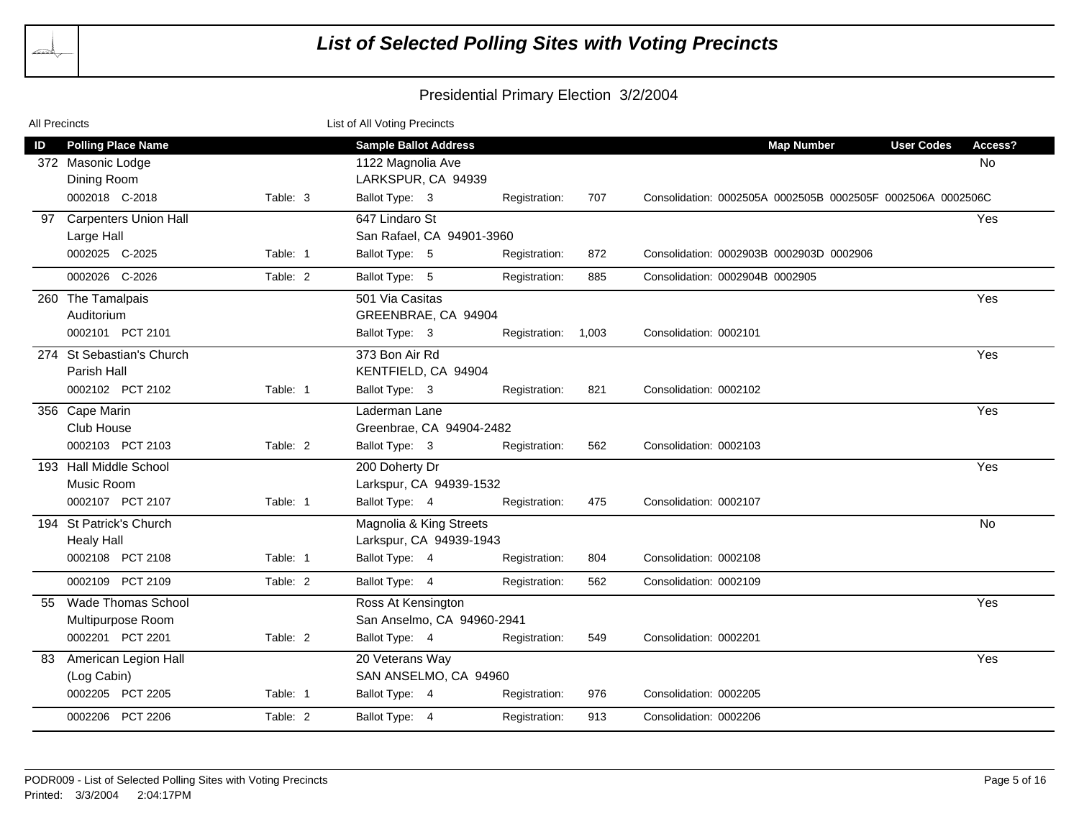| <b>All Precincts</b> |                                                               |          | List of All Voting Precincts                                            |               |       |                                                             |                                    |
|----------------------|---------------------------------------------------------------|----------|-------------------------------------------------------------------------|---------------|-------|-------------------------------------------------------------|------------------------------------|
| ID                   | <b>Polling Place Name</b><br>372 Masonic Lodge<br>Dining Room |          | <b>Sample Ballot Address</b><br>1122 Magnolia Ave<br>LARKSPUR, CA 94939 |               |       | <b>Map Number</b>                                           | <b>User Codes</b><br>Access?<br>No |
|                      | 0002018 C-2018                                                | Table: 3 | Ballot Type: 3                                                          | Registration: | 707   | Consolidation: 0002505A 0002505B 0002505F 0002506A 0002506C |                                    |
| 97                   | <b>Carpenters Union Hall</b><br>Large Hall                    |          | 647 Lindaro St<br>San Rafael, CA 94901-3960                             |               |       |                                                             | Yes                                |
|                      | 0002025 C-2025                                                | Table: 1 | Ballot Type: 5                                                          | Registration: | 872   | Consolidation: 0002903B 0002903D 0002906                    |                                    |
|                      | 0002026 C-2026                                                | Table: 2 | Ballot Type: 5                                                          | Registration: | 885   | Consolidation: 0002904B 0002905                             |                                    |
| 260                  | The Tamalpais<br>Auditorium                                   |          | 501 Via Casitas<br>GREENBRAE, CA 94904                                  |               |       |                                                             | Yes                                |
|                      | 0002101 PCT 2101                                              |          | Ballot Type: 3                                                          | Registration: | 1,003 | Consolidation: 0002101                                      |                                    |
|                      | 274 St Sebastian's Church<br>Parish Hall                      |          | 373 Bon Air Rd<br>KENTFIELD, CA 94904                                   |               |       |                                                             | Yes                                |
|                      | 0002102 PCT 2102                                              | Table: 1 | Ballot Type: 3                                                          | Registration: | 821   | Consolidation: 0002102                                      |                                    |
|                      | 356 Cape Marin<br>Club House                                  |          | Laderman Lane<br>Greenbrae, CA 94904-2482                               |               |       |                                                             | Yes                                |
|                      | 0002103 PCT 2103                                              | Table: 2 | Ballot Type: 3                                                          | Registration: | 562   | Consolidation: 0002103                                      |                                    |
|                      | 193 Hall Middle School<br>Music Room                          |          | 200 Doherty Dr<br>Larkspur, CA 94939-1532                               |               |       |                                                             | Yes                                |
|                      | 0002107 PCT 2107                                              | Table: 1 | Ballot Type: 4                                                          | Registration: | 475   | Consolidation: 0002107                                      |                                    |
|                      | 194 St Patrick's Church<br><b>Healy Hall</b>                  |          | Magnolia & King Streets<br>Larkspur, CA 94939-1943                      |               |       |                                                             | No                                 |
|                      | 0002108 PCT 2108                                              | Table: 1 | Ballot Type: 4                                                          | Registration: | 804   | Consolidation: 0002108                                      |                                    |
|                      | 0002109 PCT 2109                                              | Table: 2 | Ballot Type: 4                                                          | Registration: | 562   | Consolidation: 0002109                                      |                                    |
| 55                   | <b>Wade Thomas School</b><br>Multipurpose Room                |          | Ross At Kensington<br>San Anselmo, CA 94960-2941                        |               |       |                                                             | Yes                                |
|                      | 0002201 PCT 2201                                              | Table: 2 | Ballot Type: 4                                                          | Registration: | 549   | Consolidation: 0002201                                      |                                    |
| 83                   | American Legion Hall<br>(Log Cabin)                           |          | 20 Veterans Way<br>SAN ANSELMO, CA 94960                                |               |       |                                                             | Yes                                |
|                      | 0002205 PCT 2205                                              | Table: 1 | Ballot Type: 4                                                          | Registration: | 976   | Consolidation: 0002205                                      |                                    |
|                      | 0002206 PCT 2206                                              | Table: 2 | Ballot Type: 4                                                          | Registration: | 913   | Consolidation: 0002206                                      |                                    |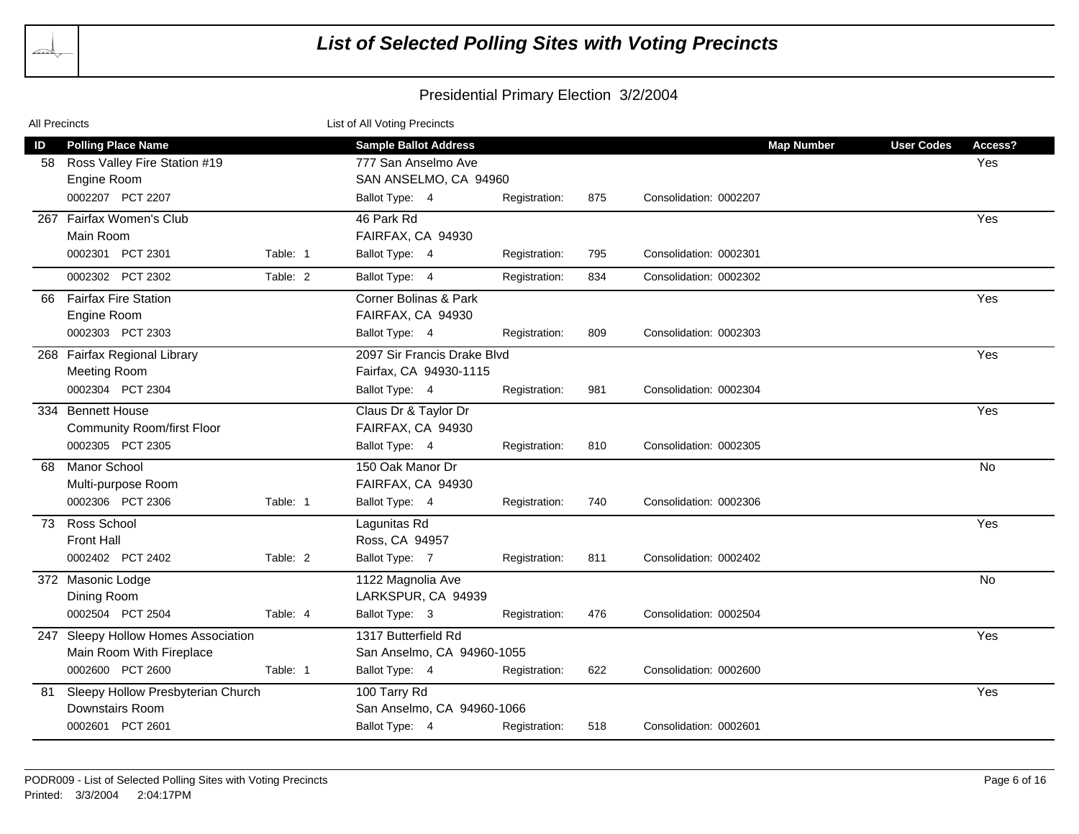| All Precincts |                                                                                              |          | List of All Voting Precincts                                                                   |               |     |                        |                   |                                     |
|---------------|----------------------------------------------------------------------------------------------|----------|------------------------------------------------------------------------------------------------|---------------|-----|------------------------|-------------------|-------------------------------------|
| ID<br>58      | <b>Polling Place Name</b><br>Ross Valley Fire Station #19<br>Engine Room<br>0002207 PCT 2207 |          | <b>Sample Ballot Address</b><br>777 San Anselmo Ave<br>SAN ANSELMO, CA 94960<br>Ballot Type: 4 | Registration: | 875 | Consolidation: 0002207 | <b>Map Number</b> | <b>User Codes</b><br>Access?<br>Yes |
|               | 267 Fairfax Women's Club                                                                     |          | 46 Park Rd                                                                                     |               |     |                        |                   |                                     |
|               | Main Room                                                                                    |          | FAIRFAX, CA 94930                                                                              |               |     |                        |                   | Yes                                 |
|               | 0002301 PCT 2301                                                                             | Table: 1 | Ballot Type: 4                                                                                 | Registration: | 795 | Consolidation: 0002301 |                   |                                     |
|               | 0002302 PCT 2302                                                                             | Table: 2 | Ballot Type: 4                                                                                 | Registration: | 834 | Consolidation: 0002302 |                   |                                     |
| 66            | <b>Fairfax Fire Station</b><br>Engine Room<br>0002303 PCT 2303                               |          | Corner Bolinas & Park<br>FAIRFAX, CA 94930<br>Ballot Type: 4                                   | Registration: | 809 | Consolidation: 0002303 |                   | Yes                                 |
|               |                                                                                              |          |                                                                                                |               |     |                        |                   |                                     |
|               | 268 Fairfax Regional Library<br><b>Meeting Room</b>                                          |          | 2097 Sir Francis Drake Blyd<br>Fairfax, CA 94930-1115                                          |               |     |                        |                   | Yes                                 |
|               | 0002304 PCT 2304                                                                             |          | Ballot Type: 4                                                                                 | Registration: | 981 | Consolidation: 0002304 |                   |                                     |
|               | 334 Bennett House<br><b>Community Room/first Floor</b>                                       |          | Claus Dr & Taylor Dr<br>FAIRFAX, CA 94930                                                      |               |     |                        |                   | Yes                                 |
|               | 0002305 PCT 2305                                                                             |          | Ballot Type: 4                                                                                 | Registration: | 810 | Consolidation: 0002305 |                   |                                     |
| 68            | Manor School<br>Multi-purpose Room                                                           |          | 150 Oak Manor Dr<br>FAIRFAX, CA 94930                                                          |               |     |                        |                   | <b>No</b>                           |
|               | 0002306 PCT 2306                                                                             | Table: 1 | Ballot Type: 4                                                                                 | Registration: | 740 | Consolidation: 0002306 |                   |                                     |
| 73            | Ross School<br><b>Front Hall</b>                                                             |          | Lagunitas Rd<br>Ross, CA 94957                                                                 |               |     |                        |                   | Yes                                 |
|               | 0002402 PCT 2402                                                                             | Table: 2 | Ballot Type: 7                                                                                 | Registration: | 811 | Consolidation: 0002402 |                   |                                     |
|               | 372 Masonic Lodge<br>Dining Room                                                             |          | 1122 Magnolia Ave<br>LARKSPUR, CA 94939                                                        |               |     |                        |                   | <b>No</b>                           |
|               | 0002504 PCT 2504                                                                             | Table: 4 | Ballot Type: 3                                                                                 | Registration: | 476 | Consolidation: 0002504 |                   |                                     |
|               | 247 Sleepy Hollow Homes Association<br>Main Room With Fireplace                              |          | 1317 Butterfield Rd<br>San Anselmo, CA 94960-1055                                              |               |     |                        |                   | Yes                                 |
|               | 0002600 PCT 2600                                                                             | Table: 1 | Ballot Type: 4                                                                                 | Registration: | 622 | Consolidation: 0002600 |                   |                                     |
| 81            | Sleepy Hollow Presbyterian Church<br>Downstairs Room                                         |          | 100 Tarry Rd<br>San Anselmo, CA 94960-1066                                                     |               |     |                        |                   | Yes                                 |
|               | 0002601 PCT 2601                                                                             |          | Ballot Type: 4                                                                                 | Registration: | 518 | Consolidation: 0002601 |                   |                                     |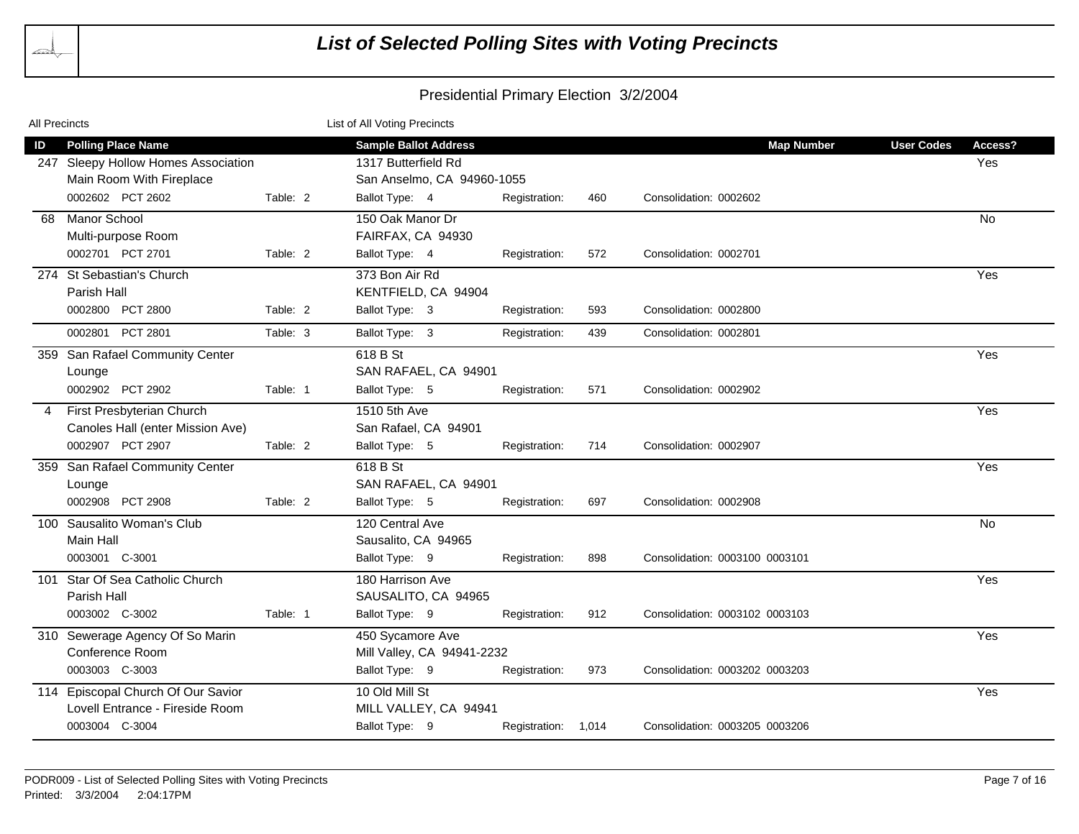| All Precincts |                                                                                                                  |          | List of All Voting Precincts                                                                        |                     |     |                                             |                                     |  |
|---------------|------------------------------------------------------------------------------------------------------------------|----------|-----------------------------------------------------------------------------------------------------|---------------------|-----|---------------------------------------------|-------------------------------------|--|
| ID            | <b>Polling Place Name</b><br>247 Sleepy Hollow Homes Association<br>Main Room With Fireplace<br>0002602 PCT 2602 | Table: 2 | <b>Sample Ballot Address</b><br>1317 Butterfield Rd<br>San Anselmo, CA 94960-1055<br>Ballot Type: 4 | Registration:       | 460 | <b>Map Number</b><br>Consolidation: 0002602 | <b>User Codes</b><br>Access?<br>Yes |  |
| 68            | <b>Manor School</b><br>Multi-purpose Room<br>0002701 PCT 2701                                                    | Table: 2 | 150 Oak Manor Dr<br>FAIRFAX, CA 94930<br>Ballot Type: 4                                             | Registration:       | 572 | Consolidation: 0002701                      | <b>No</b>                           |  |
|               | 274 St Sebastian's Church<br>Parish Hall<br>0002800 PCT 2800                                                     | Table: 2 | 373 Bon Air Rd<br>KENTFIELD, CA 94904<br>Ballot Type: 3                                             | Registration:       | 593 | Consolidation: 0002800                      | Yes                                 |  |
|               | 0002801 PCT 2801                                                                                                 | Table: 3 | Ballot Type: 3                                                                                      | Registration:       | 439 | Consolidation: 0002801                      |                                     |  |
|               | 359 San Rafael Community Center<br>Lounge<br>0002902 PCT 2902                                                    | Table: 1 | 618 B St<br>SAN RAFAEL, CA 94901<br>Ballot Type: 5                                                  | Registration:       | 571 | Consolidation: 0002902                      | Yes                                 |  |
|               | First Presbyterian Church<br>Canoles Hall (enter Mission Ave)<br>0002907 PCT 2907                                | Table: 2 | 1510 5th Ave<br>San Rafael, CA 94901<br>Ballot Type: 5                                              | Registration:       | 714 | Consolidation: 0002907                      | Yes                                 |  |
| 359           | San Rafael Community Center<br>Lounge<br>0002908 PCT 2908                                                        | Table: 2 | 618 B St<br>SAN RAFAEL, CA 94901<br>Ballot Type: 5                                                  | Registration:       | 697 | Consolidation: 0002908                      | Yes                                 |  |
|               | 100 Sausalito Woman's Club<br>Main Hall<br>0003001 C-3001                                                        |          | 120 Central Ave<br>Sausalito, CA 94965<br>Ballot Type: 9                                            | Registration:       | 898 | Consolidation: 0003100 0003101              | <b>No</b>                           |  |
| 101           | Star Of Sea Catholic Church<br>Parish Hall<br>0003002 C-3002                                                     | Table: 1 | 180 Harrison Ave<br>SAUSALITO, CA 94965<br>Ballot Type: 9                                           | Registration:       | 912 | Consolidation: 0003102 0003103              | Yes                                 |  |
|               | 310 Sewerage Agency Of So Marin<br>Conference Room<br>0003003 C-3003                                             |          | 450 Sycamore Ave<br>Mill Valley, CA 94941-2232<br>Ballot Type: 9                                    | Registration:       | 973 | Consolidation: 0003202 0003203              | Yes                                 |  |
|               | 114 Episcopal Church Of Our Savior<br>Lovell Entrance - Fireside Room<br>0003004 C-3004                          |          | 10 Old Mill St<br>MILL VALLEY, CA 94941<br>Ballot Type: 9                                           | Registration: 1,014 |     | Consolidation: 0003205 0003206              | Yes                                 |  |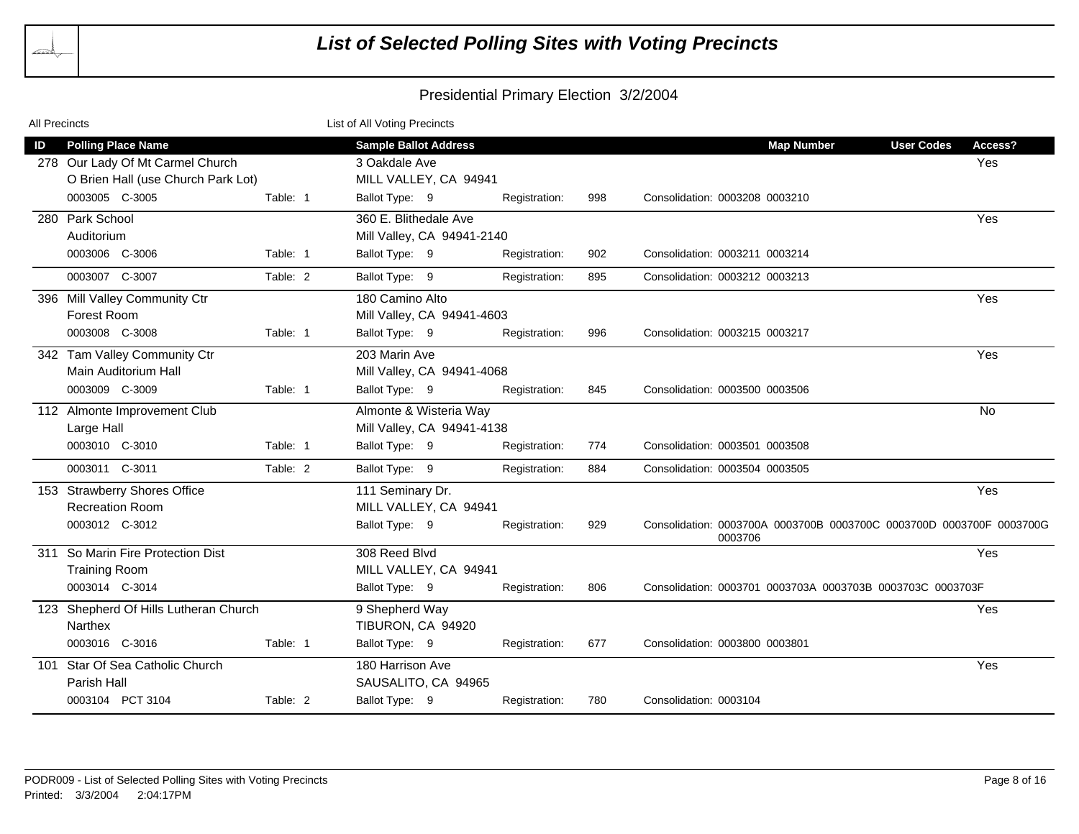| All Precincts |                                                               |          | List of All Voting Precincts                         |               |     |                                                                                 |                   |                |
|---------------|---------------------------------------------------------------|----------|------------------------------------------------------|---------------|-----|---------------------------------------------------------------------------------|-------------------|----------------|
| ID            | <b>Polling Place Name</b><br>278 Our Lady Of Mt Carmel Church |          | <b>Sample Ballot Address</b><br>3 Oakdale Ave        |               |     | <b>Map Number</b>                                                               | <b>User Codes</b> | Access?<br>Yes |
|               | O Brien Hall (use Church Park Lot)<br>0003005 C-3005          | Table: 1 | MILL VALLEY, CA 94941<br>Ballot Type: 9              | Registration: | 998 | Consolidation: 0003208 0003210                                                  |                   |                |
|               | 280 Park School<br>Auditorium                                 |          | 360 E. Blithedale Ave<br>Mill Valley, CA 94941-2140  |               |     |                                                                                 |                   | Yes            |
|               | 0003006 C-3006                                                | Table: 1 | Ballot Type: 9                                       | Registration: | 902 | Consolidation: 0003211 0003214                                                  |                   |                |
|               | 0003007 C-3007                                                | Table: 2 | Ballot Type: 9                                       | Registration: | 895 | Consolidation: 0003212 0003213                                                  |                   |                |
|               | 396 Mill Valley Community Ctr<br><b>Forest Room</b>           |          | 180 Camino Alto<br>Mill Valley, CA 94941-4603        |               |     |                                                                                 |                   | Yes            |
|               | 0003008 C-3008                                                | Table: 1 | Ballot Type: 9                                       | Registration: | 996 | Consolidation: 0003215 0003217                                                  |                   |                |
|               | 342 Tam Valley Community Ctr<br>Main Auditorium Hall          |          | 203 Marin Ave<br>Mill Valley, CA 94941-4068          |               |     |                                                                                 |                   | Yes            |
|               | 0003009 C-3009                                                | Table: 1 | Ballot Type: 9                                       | Registration: | 845 | Consolidation: 0003500 0003506                                                  |                   |                |
|               | 112 Almonte Improvement Club<br>Large Hall                    |          | Almonte & Wisteria Way<br>Mill Valley, CA 94941-4138 |               |     |                                                                                 |                   | <b>No</b>      |
|               | 0003010 C-3010                                                | Table: 1 | Ballot Type: 9                                       | Registration: | 774 | Consolidation: 0003501 0003508                                                  |                   |                |
|               | 0003011 C-3011                                                | Table: 2 | Ballot Type: 9                                       | Registration: | 884 | Consolidation: 0003504 0003505                                                  |                   |                |
|               | 153 Strawberry Shores Office<br><b>Recreation Room</b>        |          | 111 Seminary Dr.<br>MILL VALLEY, CA 94941            |               |     |                                                                                 |                   | Yes            |
|               | 0003012 C-3012                                                |          | Ballot Type: 9                                       | Registration: | 929 | Consolidation: 0003700A 0003700B 0003700C 0003700D 0003700F 0003700G<br>0003706 |                   |                |
|               | 311 So Marin Fire Protection Dist<br><b>Training Room</b>     |          | 308 Reed Blvd<br>MILL VALLEY, CA 94941               |               |     |                                                                                 |                   | Yes            |
|               | 0003014 C-3014                                                |          | Ballot Type: 9                                       | Registration: | 806 | Consolidation: 0003701 0003703A 0003703B 0003703C 0003703F                      |                   |                |
|               | 123 Shepherd Of Hills Lutheran Church<br><b>Narthex</b>       |          | 9 Shepherd Way<br>TIBURON, CA 94920                  |               |     |                                                                                 |                   | Yes            |
|               | 0003016 C-3016                                                | Table: 1 | Ballot Type: 9                                       | Registration: | 677 | Consolidation: 0003800 0003801                                                  |                   |                |
|               | 101 Star Of Sea Catholic Church<br>Parish Hall                |          | 180 Harrison Ave<br>SAUSALITO, CA 94965              |               |     |                                                                                 |                   | Yes            |
|               | 0003104 PCT 3104                                              | Table: 2 | Ballot Type: 9                                       | Registration: | 780 | Consolidation: 0003104                                                          |                   |                |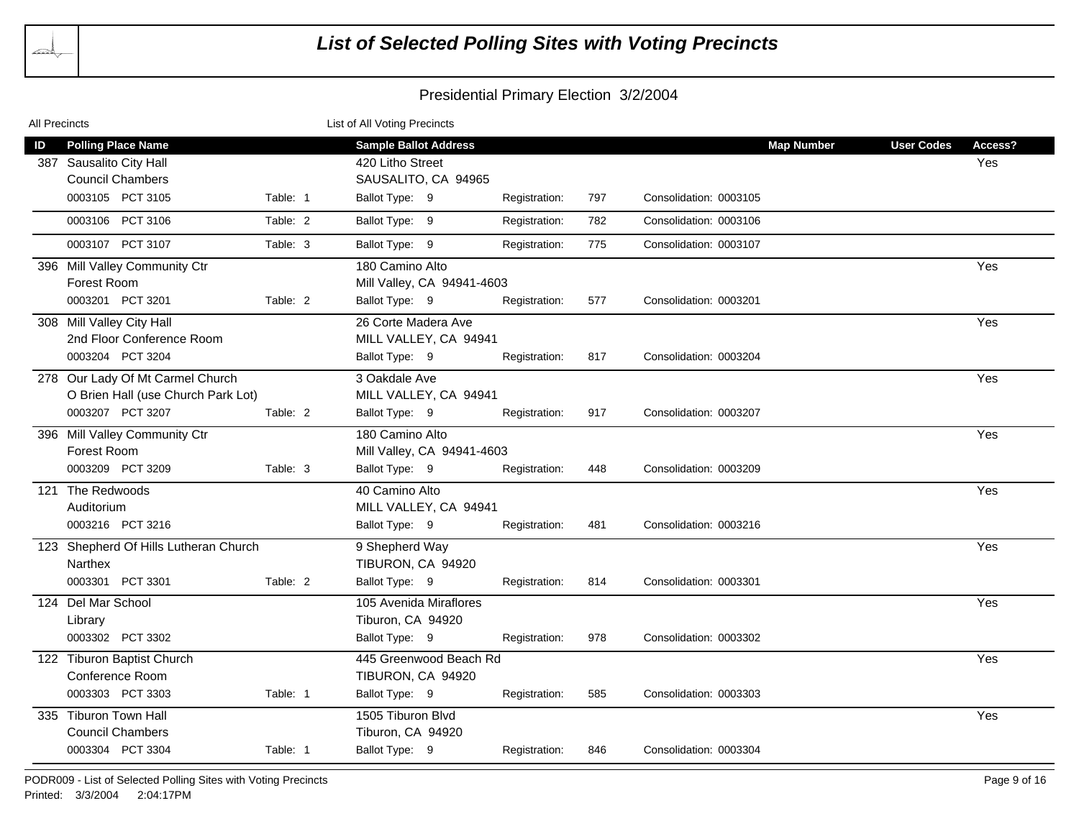| All Precincts |                                                      |          | List of All Voting Precincts                     |               |     |                        |                   |                   |                |
|---------------|------------------------------------------------------|----------|--------------------------------------------------|---------------|-----|------------------------|-------------------|-------------------|----------------|
| ID            | <b>Polling Place Name</b><br>387 Sausalito City Hall |          | <b>Sample Ballot Address</b><br>420 Litho Street |               |     |                        | <b>Map Number</b> | <b>User Codes</b> | Access?<br>Yes |
|               | <b>Council Chambers</b>                              |          | SAUSALITO, CA 94965                              |               |     |                        |                   |                   |                |
|               | 0003105 PCT 3105                                     | Table: 1 | Ballot Type: 9                                   | Registration: | 797 | Consolidation: 0003105 |                   |                   |                |
|               | 0003106 PCT 3106                                     | Table: 2 | Ballot Type: 9                                   | Registration: | 782 | Consolidation: 0003106 |                   |                   |                |
|               | 0003107 PCT 3107                                     | Table: 3 | Ballot Type: 9                                   | Registration: | 775 | Consolidation: 0003107 |                   |                   |                |
|               | 396 Mill Valley Community Ctr                        |          | 180 Camino Alto                                  |               |     |                        |                   |                   | Yes            |
|               | Forest Room                                          |          | Mill Valley, CA 94941-4603                       |               |     |                        |                   |                   |                |
|               | 0003201 PCT 3201                                     | Table: 2 | Ballot Type: 9                                   | Registration: | 577 | Consolidation: 0003201 |                   |                   |                |
|               | 308 Mill Valley City Hall                            |          | 26 Corte Madera Ave                              |               |     |                        |                   |                   | Yes            |
|               | 2nd Floor Conference Room                            |          | MILL VALLEY, CA 94941                            |               |     |                        |                   |                   |                |
|               | 0003204 PCT 3204                                     |          | Ballot Type: 9                                   | Registration: | 817 | Consolidation: 0003204 |                   |                   |                |
|               | 278 Our Lady Of Mt Carmel Church                     |          | 3 Oakdale Ave                                    |               |     |                        |                   |                   | Yes            |
|               | O Brien Hall (use Church Park Lot)                   |          | MILL VALLEY, CA 94941                            |               |     |                        |                   |                   |                |
|               | 0003207 PCT 3207                                     | Table: 2 | Ballot Type: 9                                   | Registration: | 917 | Consolidation: 0003207 |                   |                   |                |
|               | 396 Mill Valley Community Ctr                        |          | 180 Camino Alto                                  |               |     |                        |                   |                   | Yes            |
|               | Forest Room                                          |          | Mill Valley, CA 94941-4603                       |               |     |                        |                   |                   |                |
|               | 0003209 PCT 3209                                     | Table: 3 | Ballot Type: 9                                   | Registration: | 448 | Consolidation: 0003209 |                   |                   |                |
|               | 121 The Redwoods                                     |          | 40 Camino Alto                                   |               |     |                        |                   |                   | Yes            |
|               | Auditorium                                           |          | MILL VALLEY, CA 94941                            |               |     |                        |                   |                   |                |
|               | 0003216 PCT 3216                                     |          | Ballot Type: 9                                   | Registration: | 481 | Consolidation: 0003216 |                   |                   |                |
|               | 123 Shepherd Of Hills Lutheran Church                |          | 9 Shepherd Way                                   |               |     |                        |                   |                   | Yes            |
|               | Narthex                                              |          | TIBURON, CA 94920                                |               |     |                        |                   |                   |                |
|               | 0003301 PCT 3301                                     | Table: 2 | Ballot Type: 9                                   | Registration: | 814 | Consolidation: 0003301 |                   |                   |                |
|               | 124 Del Mar School                                   |          | 105 Avenida Miraflores                           |               |     |                        |                   |                   | Yes            |
|               | Library                                              |          | Tiburon, CA 94920                                |               |     |                        |                   |                   |                |
|               | 0003302 PCT 3302                                     |          | Ballot Type: 9                                   | Registration: | 978 | Consolidation: 0003302 |                   |                   |                |
|               | 122 Tiburon Baptist Church                           |          | 445 Greenwood Beach Rd                           |               |     |                        |                   |                   | Yes            |
|               | Conference Room                                      |          | TIBURON, CA 94920                                |               |     |                        |                   |                   |                |
|               | 0003303 PCT 3303                                     | Table: 1 | Ballot Type: 9                                   | Registration: | 585 | Consolidation: 0003303 |                   |                   |                |
|               | 335 Tiburon Town Hall                                |          | 1505 Tiburon Blvd                                |               |     |                        |                   |                   | Yes            |
|               | <b>Council Chambers</b>                              |          | Tiburon, CA 94920                                |               |     |                        |                   |                   |                |
|               | 0003304 PCT 3304                                     | Table: 1 | Ballot Type: 9                                   | Registration: | 846 | Consolidation: 0003304 |                   |                   |                |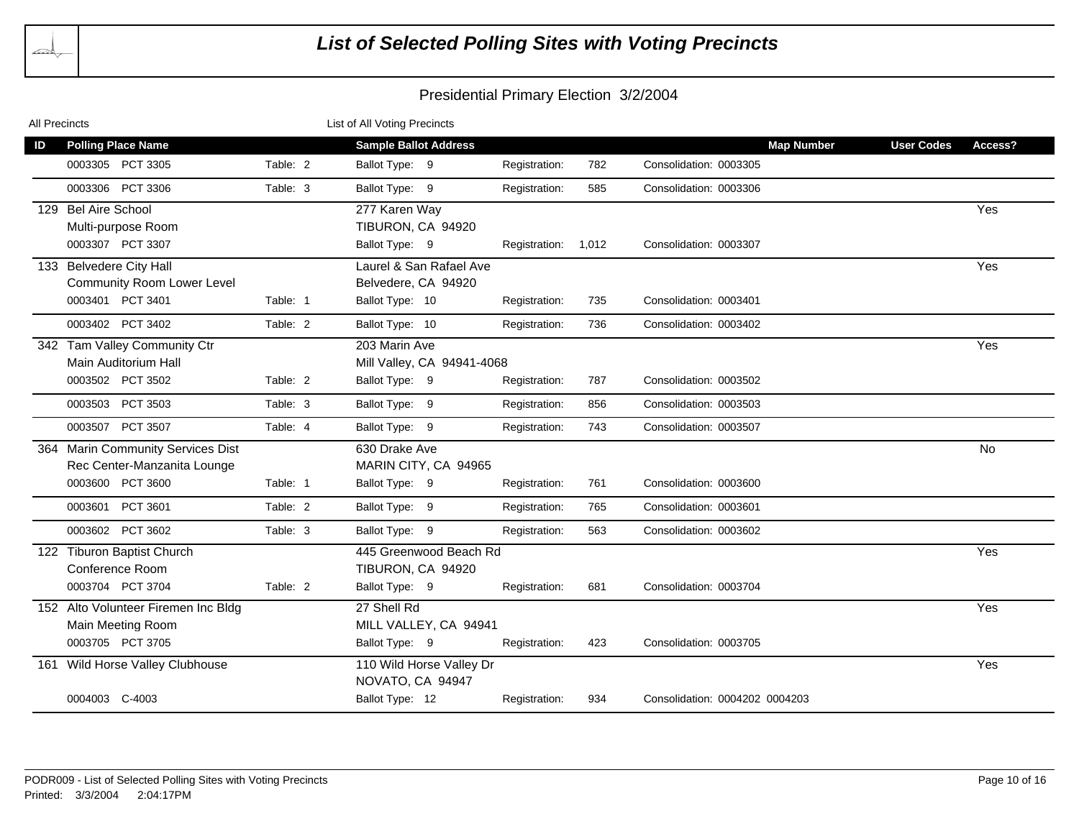| All Precincts                                                                | List of All Voting Precincts                           |                     |     |                                |                   |           |
|------------------------------------------------------------------------------|--------------------------------------------------------|---------------------|-----|--------------------------------|-------------------|-----------|
| <b>Polling Place Name</b><br>ID                                              | <b>Sample Ballot Address</b>                           |                     |     | <b>Map Number</b>              | <b>User Codes</b> | Access?   |
| 0003305 PCT 3305<br>Table: 2                                                 | Ballot Type: 9                                         | Registration:       | 782 | Consolidation: 0003305         |                   |           |
| PCT 3306<br>0003306<br>Table: 3                                              | Ballot Type: 9                                         | Registration:       | 585 | Consolidation: 0003306         |                   |           |
| 129 Bel Aire School<br>Multi-purpose Room                                    | 277 Karen Way<br>TIBURON, CA 94920                     |                     |     |                                |                   | Yes       |
| 0003307 PCT 3307                                                             | Ballot Type: 9                                         | Registration: 1,012 |     | Consolidation: 0003307         |                   |           |
| 133 Belvedere City Hall<br><b>Community Room Lower Level</b>                 | Laurel & San Rafael Ave<br>Belvedere, CA 94920         |                     |     |                                |                   | Yes       |
| 0003401 PCT 3401<br>Table: 1                                                 | Ballot Type: 10                                        | Registration:       | 735 | Consolidation: 0003401         |                   |           |
| 0003402 PCT 3402<br>Table: 2                                                 | Ballot Type: 10                                        | Registration:       | 736 | Consolidation: 0003402         |                   |           |
| 342 Tam Valley Community Ctr<br>Main Auditorium Hall                         | 203 Marin Ave<br>Mill Valley, CA 94941-4068            |                     |     |                                |                   | Yes       |
| 0003502 PCT 3502<br>Table: 2                                                 | Ballot Type: 9                                         | Registration:       | 787 | Consolidation: 0003502         |                   |           |
| 0003503<br>PCT 3503<br>Table: 3                                              | Ballot Type: 9                                         | Registration:       | 856 | Consolidation: 0003503         |                   |           |
| 0003507 PCT 3507<br>Table: 4                                                 | Ballot Type: 9                                         | Registration:       | 743 | Consolidation: 0003507         |                   |           |
| 364 Marin Community Services Dist<br>Rec Center-Manzanita Lounge             | 630 Drake Ave<br>MARIN CITY, CA 94965                  |                     |     |                                |                   | <b>No</b> |
| 0003600 PCT 3600<br>Table: 1                                                 | Ballot Type: 9                                         | Registration:       | 761 | Consolidation: 0003600         |                   |           |
| PCT 3601<br>0003601<br>Table: 2                                              | Ballot Type: 9                                         | Registration:       | 765 | Consolidation: 0003601         |                   |           |
| 0003602 PCT 3602<br>Table: 3                                                 | Ballot Type: 9                                         | Registration:       | 563 | Consolidation: 0003602         |                   |           |
| 122 Tiburon Baptist Church<br>Conference Room                                | 445 Greenwood Beach Rd<br>TIBURON, CA 94920            |                     |     |                                |                   | Yes       |
| 0003704 PCT 3704<br>Table: 2                                                 | Ballot Type: 9                                         | Registration:       | 681 | Consolidation: 0003704         |                   |           |
| 152 Alto Volunteer Firemen Inc Bldg<br>Main Meeting Room<br>0003705 PCT 3705 | 27 Shell Rd<br>MILL VALLEY, CA 94941<br>Ballot Type: 9 | Registration:       | 423 | Consolidation: 0003705         |                   | Yes       |
| Wild Horse Valley Clubhouse<br>161                                           | 110 Wild Horse Valley Dr                               |                     |     |                                |                   | Yes       |
|                                                                              | NOVATO, CA 94947                                       |                     |     |                                |                   |           |
| 0004003 C-4003                                                               | Ballot Type: 12                                        | Registration:       | 934 | Consolidation: 0004202 0004203 |                   |           |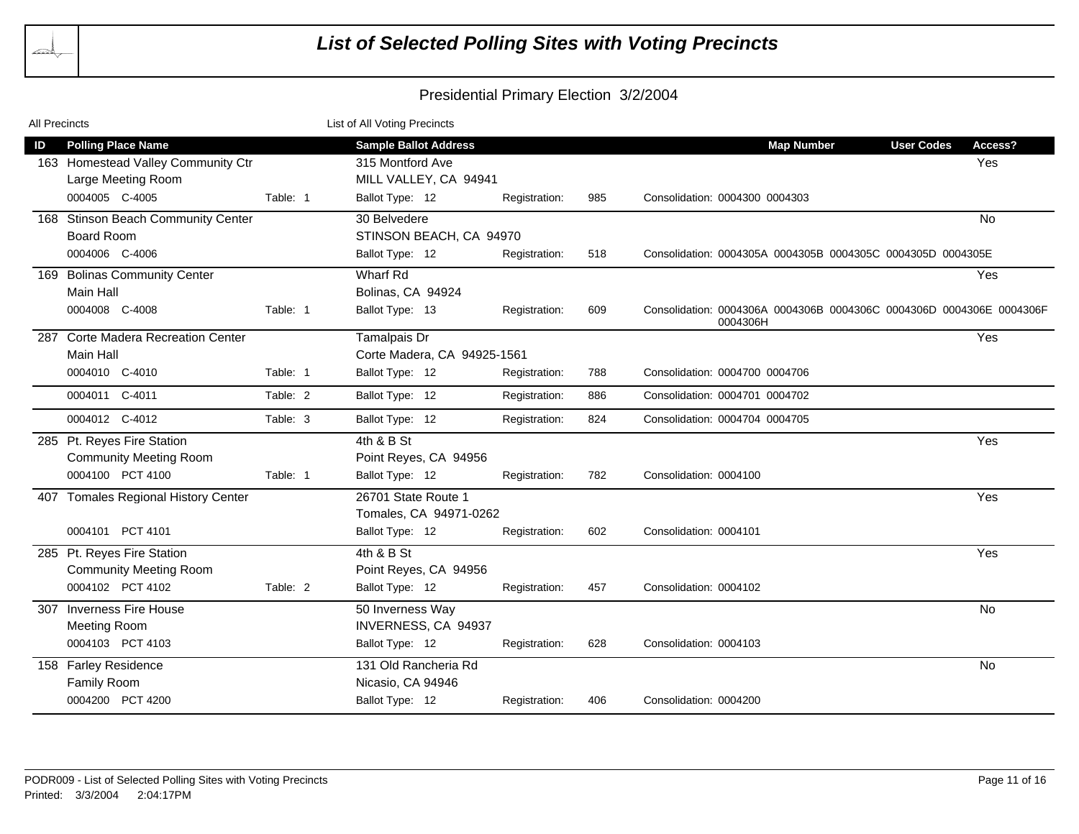| All Precincts |                                     |          | List of All Voting Precincts |               |     |                                                                                  |                   |           |
|---------------|-------------------------------------|----------|------------------------------|---------------|-----|----------------------------------------------------------------------------------|-------------------|-----------|
| ID            | <b>Polling Place Name</b>           |          | <b>Sample Ballot Address</b> |               |     | <b>Map Number</b>                                                                | <b>User Codes</b> | Access?   |
|               | 163 Homestead Valley Community Ctr  |          | 315 Montford Ave             |               |     |                                                                                  |                   | Yes       |
|               | Large Meeting Room                  |          | MILL VALLEY, CA 94941        |               |     |                                                                                  |                   |           |
|               | 0004005 C-4005                      | Table: 1 | Ballot Type: 12              | Registration: | 985 | Consolidation: 0004300 0004303                                                   |                   |           |
|               | 168 Stinson Beach Community Center  |          | 30 Belvedere                 |               |     |                                                                                  |                   | <b>No</b> |
|               | <b>Board Room</b>                   |          | STINSON BEACH, CA 94970      |               |     |                                                                                  |                   |           |
|               | 0004006 C-4006                      |          | Ballot Type: 12              | Registration: | 518 | Consolidation: 0004305A 0004305B 0004305C 0004305D 0004305E                      |                   |           |
|               | 169 Bolinas Community Center        |          | Wharf Rd                     |               |     |                                                                                  |                   | Yes       |
|               | Main Hall                           |          | Bolinas, CA 94924            |               |     |                                                                                  |                   |           |
|               | 0004008 C-4008                      | Table: 1 | Ballot Type: 13              | Registration: | 609 | Consolidation: 0004306A 0004306B 0004306C 0004306D 0004306E 0004306F<br>0004306H |                   |           |
|               | 287 Corte Madera Recreation Center  |          | Tamalpais Dr                 |               |     |                                                                                  |                   | Yes       |
|               | <b>Main Hall</b>                    |          | Corte Madera, CA 94925-1561  |               |     |                                                                                  |                   |           |
|               | 0004010 C-4010                      | Table: 1 | Ballot Type: 12              | Registration: | 788 | Consolidation: 0004700 0004706                                                   |                   |           |
|               | 0004011 C-4011                      | Table: 2 | Ballot Type: 12              | Registration: | 886 | Consolidation: 0004701 0004702                                                   |                   |           |
|               | 0004012 C-4012                      | Table: 3 | Ballot Type: 12              | Registration: | 824 | Consolidation: 0004704 0004705                                                   |                   |           |
|               | 285 Pt. Reyes Fire Station          |          | 4th & B St                   |               |     |                                                                                  |                   | Yes       |
|               | <b>Community Meeting Room</b>       |          | Point Reyes, CA 94956        |               |     |                                                                                  |                   |           |
|               | 0004100 PCT 4100                    | Table: 1 | Ballot Type: 12              | Registration: | 782 | Consolidation: 0004100                                                           |                   |           |
|               | 407 Tomales Regional History Center |          | 26701 State Route 1          |               |     |                                                                                  |                   | Yes       |
|               |                                     |          | Tomales, CA 94971-0262       |               |     |                                                                                  |                   |           |
|               | 0004101 PCT 4101                    |          | Ballot Type: 12              | Registration: | 602 | Consolidation: 0004101                                                           |                   |           |
|               | 285 Pt. Reyes Fire Station          |          | 4th & B St                   |               |     |                                                                                  |                   | Yes       |
|               | <b>Community Meeting Room</b>       |          | Point Reyes, CA 94956        |               |     |                                                                                  |                   |           |
|               | 0004102 PCT 4102                    | Table: 2 | Ballot Type: 12              | Registration: | 457 | Consolidation: 0004102                                                           |                   |           |
|               | 307 Inverness Fire House            |          | 50 Inverness Way             |               |     |                                                                                  |                   | No        |
|               | <b>Meeting Room</b>                 |          | INVERNESS, CA 94937          |               |     |                                                                                  |                   |           |
|               | 0004103 PCT 4103                    |          | Ballot Type: 12              | Registration: | 628 | Consolidation: 0004103                                                           |                   |           |
|               | 158 Farley Residence                |          | 131 Old Rancheria Rd         |               |     |                                                                                  |                   | No        |
|               | Family Room                         |          | Nicasio, CA 94946            |               |     |                                                                                  |                   |           |
|               | 0004200 PCT 4200                    |          | Ballot Type: 12              | Registration: | 406 | Consolidation: 0004200                                                           |                   |           |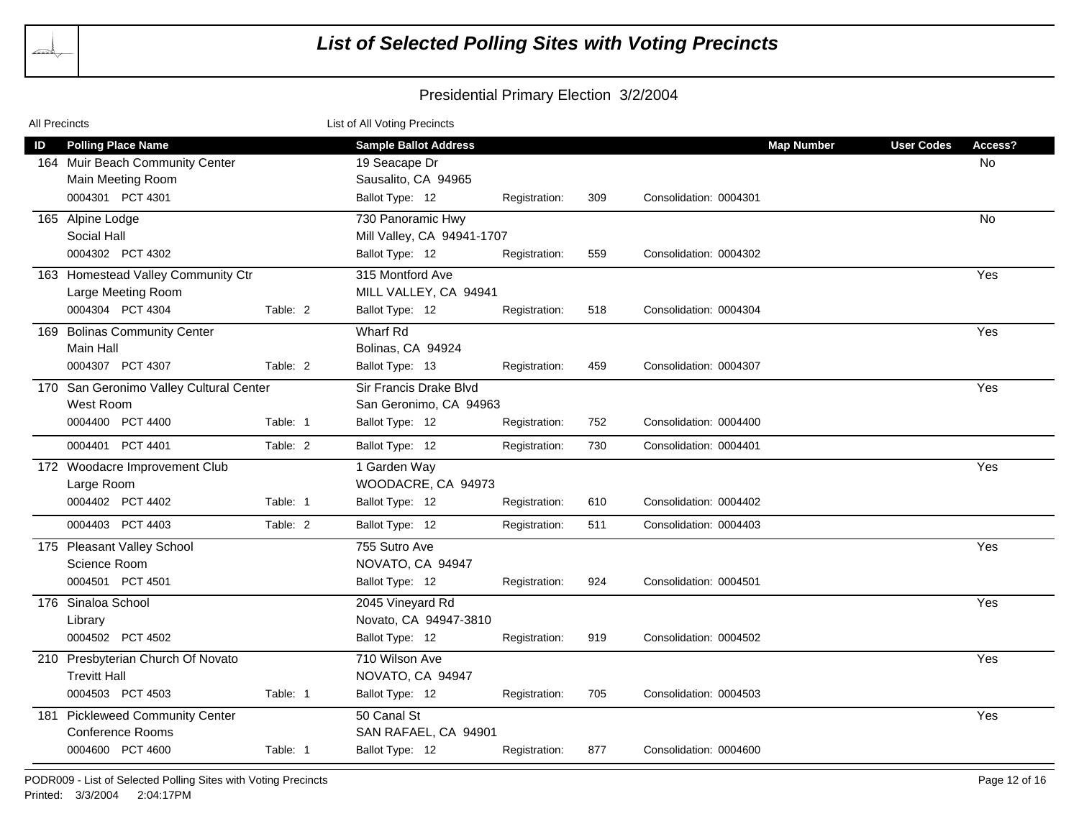| <b>All Precincts</b>                                                                       | List of All Voting Precincts                                                                                   |                                    |
|--------------------------------------------------------------------------------------------|----------------------------------------------------------------------------------------------------------------|------------------------------------|
| <b>Polling Place Name</b><br>ID<br>164 Muir Beach Community Center<br>Main Meeting Room    | <b>Sample Ballot Address</b><br><b>Map Number</b><br>19 Seacape Dr<br>Sausalito, CA 94965                      | <b>User Codes</b><br>Access?<br>No |
| 0004301 PCT 4301<br>165 Alpine Lodge                                                       | Ballot Type: 12<br>Registration:<br>309<br>Consolidation: 0004301<br>730 Panoramic Hwy                         | <b>No</b>                          |
| Social Hall<br>0004302 PCT 4302                                                            | Mill Valley, CA 94941-1707<br>Ballot Type: 12<br>Registration:<br>559<br>Consolidation: 0004302                |                                    |
| 163 Homestead Valley Community Ctr<br>Large Meeting Room<br>0004304 PCT 4304<br>Table: 2   | 315 Montford Ave<br>MILL VALLEY, CA 94941<br>Ballot Type: 12<br>Registration:<br>518<br>Consolidation: 0004304 | Yes                                |
| 169 Bolinas Community Center<br>Main Hall                                                  | Wharf Rd<br>Bolinas, CA 94924                                                                                  | Yes                                |
| 0004307 PCT 4307<br>Table: 2                                                               | Ballot Type: 13<br>459<br>Consolidation: 0004307<br>Registration:                                              |                                    |
| 170 San Geronimo Valley Cultural Center<br>West Room                                       | Sir Francis Drake Blvd<br>San Geronimo, CA 94963                                                               | Yes                                |
| 0004400 PCT 4400<br>Table: 1                                                               | Ballot Type: 12<br>Consolidation: 0004400<br>Registration:<br>752                                              |                                    |
| 0004401 PCT 4401<br>Table: 2                                                               | Ballot Type: 12<br>Registration:<br>730<br>Consolidation: 0004401                                              |                                    |
| 172 Woodacre Improvement Club<br>Large Room                                                | 1 Garden Way<br>WOODACRE, CA 94973                                                                             | Yes                                |
| 0004402 PCT 4402<br>Table: 1                                                               | Ballot Type: 12<br>610<br>Consolidation: 0004402<br>Registration:                                              |                                    |
| 0004403 PCT 4403<br>Table: 2                                                               | Ballot Type: 12<br>511<br>Consolidation: 0004403<br>Registration:                                              |                                    |
| 175 Pleasant Valley School<br>Science Room<br>0004501 PCT 4501                             | 755 Sutro Ave<br>NOVATO, CA 94947<br>Ballot Type: 12<br>924<br>Consolidation: 0004501<br>Registration:         | Yes                                |
| 176 Sinaloa School<br>Library<br>0004502 PCT 4502                                          | 2045 Vineyard Rd<br>Novato, CA 94947-3810<br>Ballot Type: 12<br>919<br>Consolidation: 0004502<br>Registration: | Yes                                |
| 210 Presbyterian Church Of Novato<br><b>Trevitt Hall</b>                                   | 710 Wilson Ave<br>NOVATO, CA 94947                                                                             | Yes                                |
| 0004503 PCT 4503<br>Table: 1                                                               | Ballot Type: 12<br>705<br>Consolidation: 0004503<br>Registration:                                              |                                    |
| 181 Pickleweed Community Center<br><b>Conference Rooms</b><br>0004600 PCT 4600<br>Table: 1 | 50 Canal St<br>SAN RAFAEL, CA 94901<br>Ballot Type: 12<br>877<br>Registration:<br>Consolidation: 0004600       | Yes                                |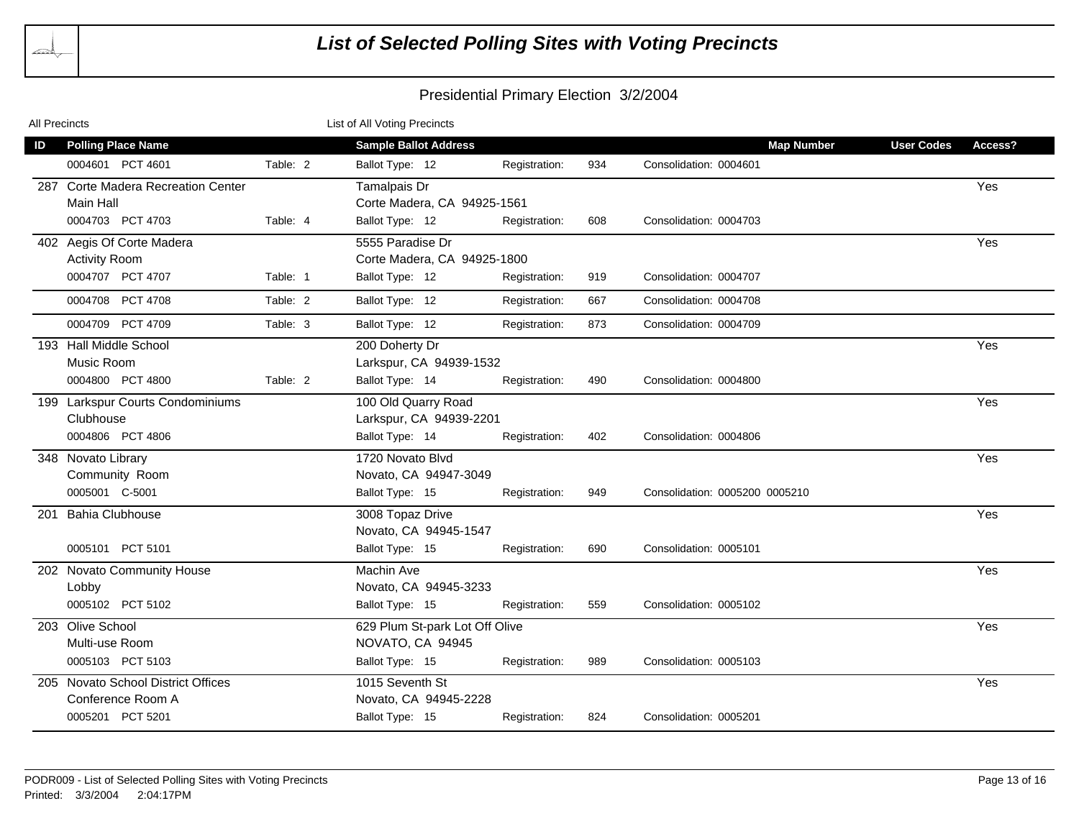| All Precincts |                                                         |          | List of All Voting Precincts                       |               |     |                                |                              |  |
|---------------|---------------------------------------------------------|----------|----------------------------------------------------|---------------|-----|--------------------------------|------------------------------|--|
| ID            | <b>Polling Place Name</b>                               |          | <b>Sample Ballot Address</b>                       |               |     | <b>Map Number</b>              | <b>User Codes</b><br>Access? |  |
|               | 0004601 PCT 4601                                        | Table: 2 | Ballot Type: 12                                    | Registration: | 934 | Consolidation: 0004601         |                              |  |
|               | 287 Corte Madera Recreation Center<br>Main Hall         |          | Tamalpais Dr<br>Corte Madera, CA 94925-1561        |               |     |                                | Yes                          |  |
|               | 0004703 PCT 4703                                        | Table: 4 | Ballot Type: 12                                    | Registration: | 608 | Consolidation: 0004703         |                              |  |
|               | 402 Aegis Of Corte Madera<br><b>Activity Room</b>       |          | 5555 Paradise Dr<br>Corte Madera, CA 94925-1800    |               |     |                                | Yes                          |  |
|               | 0004707 PCT 4707                                        | Table: 1 | Ballot Type: 12                                    | Registration: | 919 | Consolidation: 0004707         |                              |  |
|               | 0004708 PCT 4708                                        | Table: 2 | Ballot Type: 12                                    | Registration: | 667 | Consolidation: 0004708         |                              |  |
|               | 0004709 PCT 4709                                        | Table: 3 | Ballot Type: 12                                    | Registration: | 873 | Consolidation: 0004709         |                              |  |
|               | 193 Hall Middle School<br>Music Room                    |          | 200 Doherty Dr<br>Larkspur, CA 94939-1532          |               |     |                                | Yes                          |  |
|               | 0004800 PCT 4800                                        | Table: 2 | Ballot Type: 14                                    | Registration: | 490 | Consolidation: 0004800         |                              |  |
|               | 199 Larkspur Courts Condominiums<br>Clubhouse           |          | 100 Old Quarry Road<br>Larkspur, CA 94939-2201     |               |     |                                | Yes                          |  |
|               | 0004806 PCT 4806                                        |          | Ballot Type: 14                                    | Registration: | 402 | Consolidation: 0004806         |                              |  |
|               | 348 Novato Library<br>Community Room                    |          | 1720 Novato Blvd<br>Novato, CA 94947-3049          |               |     |                                | Yes                          |  |
|               | 0005001 C-5001                                          |          | Ballot Type: 15                                    | Registration: | 949 | Consolidation: 0005200 0005210 |                              |  |
| 201           | <b>Bahia Clubhouse</b>                                  |          | 3008 Topaz Drive<br>Novato, CA 94945-1547          |               |     |                                | Yes                          |  |
|               | 0005101 PCT 5101                                        |          | Ballot Type: 15                                    | Registration: | 690 | Consolidation: 0005101         |                              |  |
|               | 202 Novato Community House<br>Lobby                     |          | Machin Ave<br>Novato, CA 94945-3233                |               |     |                                | Yes                          |  |
|               | 0005102 PCT 5102                                        |          | Ballot Type: 15                                    | Registration: | 559 | Consolidation: 0005102         |                              |  |
|               | 203 Olive School<br>Multi-use Room                      |          | 629 Plum St-park Lot Off Olive<br>NOVATO, CA 94945 |               |     |                                | Yes                          |  |
|               | 0005103 PCT 5103                                        |          | Ballot Type: 15                                    | Registration: | 989 | Consolidation: 0005103         |                              |  |
|               | 205 Novato School District Offices<br>Conference Room A |          | 1015 Seventh St<br>Novato, CA 94945-2228           |               |     |                                | Yes                          |  |
|               | 0005201 PCT 5201                                        |          | Ballot Type: 15                                    | Registration: | 824 | Consolidation: 0005201         |                              |  |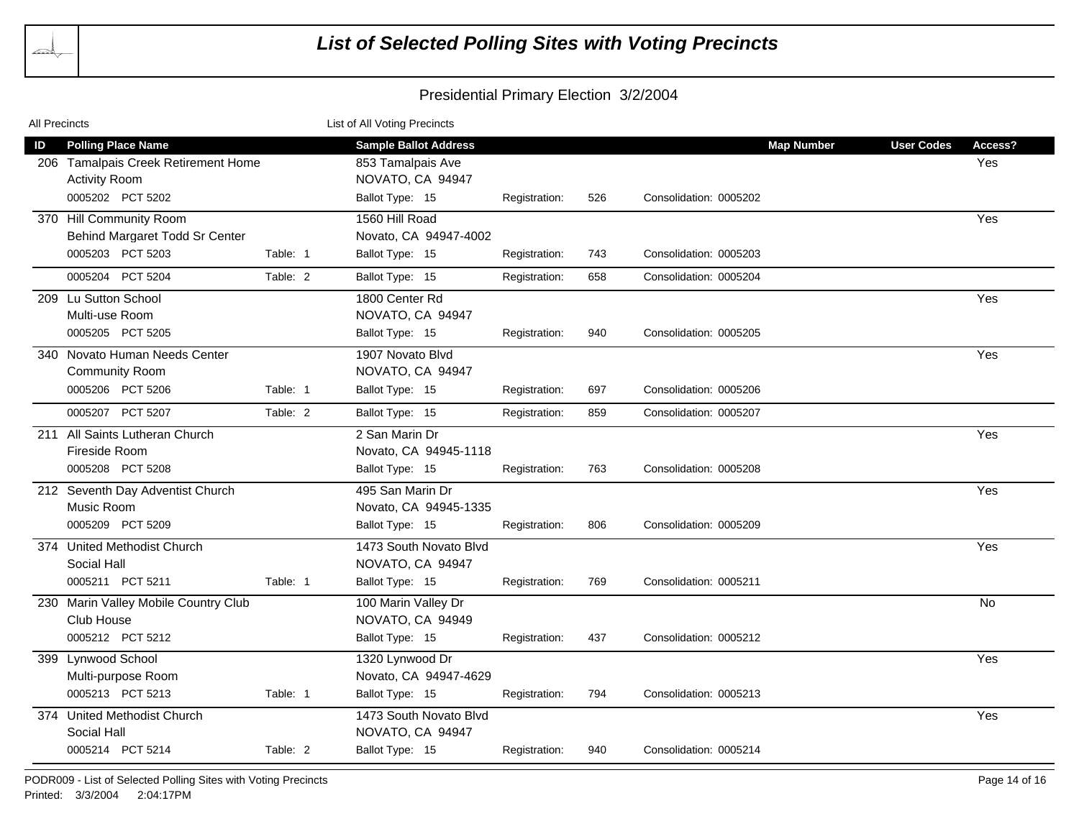| All Precincts |                                        |          | List of All Voting Precincts |               |     |                        |                   |                   |         |
|---------------|----------------------------------------|----------|------------------------------|---------------|-----|------------------------|-------------------|-------------------|---------|
| ID            | <b>Polling Place Name</b>              |          | <b>Sample Ballot Address</b> |               |     |                        | <b>Map Number</b> | <b>User Codes</b> | Access? |
| 206           | <b>Tamalpais Creek Retirement Home</b> |          | 853 Tamalpais Ave            |               |     |                        |                   |                   | Yes     |
|               | <b>Activity Room</b>                   |          | NOVATO, CA 94947             |               |     |                        |                   |                   |         |
|               | 0005202 PCT 5202                       |          | Ballot Type: 15              | Registration: | 526 | Consolidation: 0005202 |                   |                   |         |
|               | 370 Hill Community Room                |          | 1560 Hill Road               |               |     |                        |                   |                   | Yes     |
|               | Behind Margaret Todd Sr Center         |          | Novato, CA 94947-4002        |               |     |                        |                   |                   |         |
|               | 0005203 PCT 5203                       | Table: 1 | Ballot Type: 15              | Registration: | 743 | Consolidation: 0005203 |                   |                   |         |
|               | <b>PCT 5204</b><br>0005204             | Table: 2 | Ballot Type: 15              | Registration: | 658 | Consolidation: 0005204 |                   |                   |         |
|               | 209 Lu Sutton School                   |          | 1800 Center Rd               |               |     |                        |                   |                   | Yes     |
|               | Multi-use Room                         |          | NOVATO, CA 94947             |               |     |                        |                   |                   |         |
|               | 0005205 PCT 5205                       |          | Ballot Type: 15              | Registration: | 940 | Consolidation: 0005205 |                   |                   |         |
| 340           | Novato Human Needs Center              |          | 1907 Novato Blvd             |               |     |                        |                   |                   | Yes     |
|               | <b>Community Room</b>                  |          | NOVATO, CA 94947             |               |     |                        |                   |                   |         |
|               | 0005206 PCT 5206                       | Table: 1 | Ballot Type: 15              | Registration: | 697 | Consolidation: 0005206 |                   |                   |         |
|               | 0005207 PCT 5207                       | Table: 2 | Ballot Type: 15              | Registration: | 859 | Consolidation: 0005207 |                   |                   |         |
|               | 211 All Saints Lutheran Church         |          | 2 San Marin Dr               |               |     |                        |                   |                   | Yes     |
|               | Fireside Room                          |          | Novato, CA 94945-1118        |               |     |                        |                   |                   |         |
|               | 0005208 PCT 5208                       |          | Ballot Type: 15              | Registration: | 763 | Consolidation: 0005208 |                   |                   |         |
|               | 212 Seventh Day Adventist Church       |          | 495 San Marin Dr             |               |     |                        |                   |                   | Yes     |
|               | Music Room                             |          | Novato, CA 94945-1335        |               |     |                        |                   |                   |         |
|               | 0005209 PCT 5209                       |          | Ballot Type: 15              | Registration: | 806 | Consolidation: 0005209 |                   |                   |         |
|               | 374 United Methodist Church            |          | 1473 South Novato Blvd       |               |     |                        |                   |                   | Yes     |
|               | Social Hall                            |          | NOVATO, CA 94947             |               |     |                        |                   |                   |         |
|               | 0005211 PCT 5211                       | Table: 1 | Ballot Type: 15              | Registration: | 769 | Consolidation: 0005211 |                   |                   |         |
|               | 230 Marin Valley Mobile Country Club   |          | 100 Marin Valley Dr          |               |     |                        |                   |                   | No      |
|               | Club House                             |          | NOVATO, CA 94949             |               |     |                        |                   |                   |         |
|               | 0005212 PCT 5212                       |          | Ballot Type: 15              | Registration: | 437 | Consolidation: 0005212 |                   |                   |         |
|               | 399 Lynwood School                     |          | 1320 Lynwood Dr              |               |     |                        |                   |                   | Yes     |
|               | Multi-purpose Room                     |          | Novato, CA 94947-4629        |               |     |                        |                   |                   |         |
|               | 0005213 PCT 5213                       | Table: 1 | Ballot Type: 15              | Registration: | 794 | Consolidation: 0005213 |                   |                   |         |
|               | 374 United Methodist Church            |          | 1473 South Novato Blvd       |               |     |                        |                   |                   | Yes     |
|               | Social Hall                            |          | NOVATO, CA 94947             |               |     |                        |                   |                   |         |
|               | 0005214 PCT 5214                       | Table: 2 | Ballot Type: 15              | Registration: | 940 | Consolidation: 0005214 |                   |                   |         |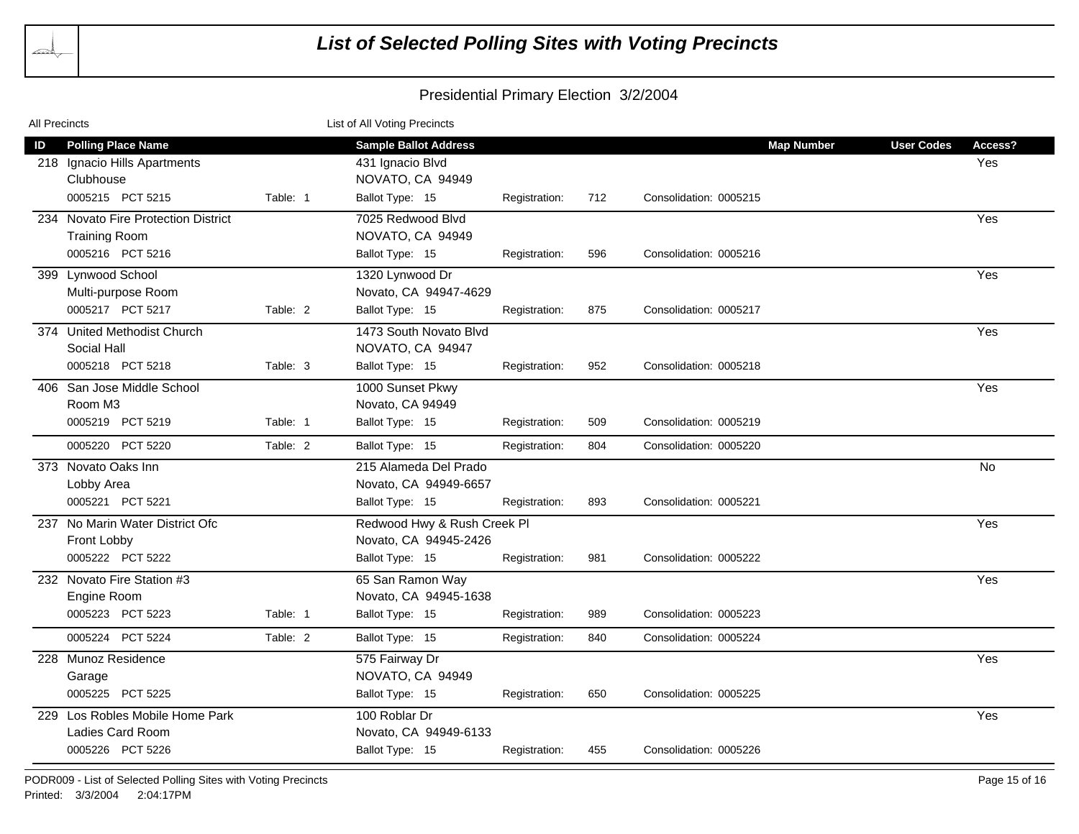| All Precincts |                                                                                 |          | List of All Voting Precincts                                         |               |     |                        |                   |                   |                |
|---------------|---------------------------------------------------------------------------------|----------|----------------------------------------------------------------------|---------------|-----|------------------------|-------------------|-------------------|----------------|
| ID            | <b>Polling Place Name</b><br>218 Ignacio Hills Apartments<br>Clubhouse          |          | <b>Sample Ballot Address</b><br>431 Ignacio Blvd<br>NOVATO, CA 94949 |               |     |                        | <b>Map Number</b> | <b>User Codes</b> | Access?<br>Yes |
|               | 0005215 PCT 5215                                                                | Table: 1 | Ballot Type: 15                                                      | Registration: | 712 | Consolidation: 0005215 |                   |                   |                |
|               | 234 Novato Fire Protection District<br><b>Training Room</b><br>0005216 PCT 5216 |          | 7025 Redwood Blvd<br>NOVATO, CA 94949<br>Ballot Type: 15             | Registration: | 596 | Consolidation: 0005216 |                   |                   | Yes            |
|               | 399 Lynwood School<br>Multi-purpose Room                                        |          | 1320 Lynwood Dr<br>Novato, CA 94947-4629                             |               |     |                        |                   |                   | Yes            |
|               | 0005217 PCT 5217                                                                | Table: 2 | Ballot Type: 15                                                      | Registration: | 875 | Consolidation: 0005217 |                   |                   |                |
|               | 374 United Methodist Church<br>Social Hall                                      |          | 1473 South Novato Blvd<br>NOVATO, CA 94947                           |               |     |                        |                   |                   | Yes            |
|               | 0005218 PCT 5218                                                                | Table: 3 | Ballot Type: 15                                                      | Registration: | 952 | Consolidation: 0005218 |                   |                   |                |
|               | 406 San Jose Middle School<br>Room M <sub>3</sub>                               |          | 1000 Sunset Pkwy<br>Novato, CA 94949                                 |               |     |                        |                   |                   | Yes            |
|               | 0005219 PCT 5219                                                                | Table: 1 | Ballot Type: 15                                                      | Registration: | 509 | Consolidation: 0005219 |                   |                   |                |
|               | 0005220 PCT 5220                                                                | Table: 2 | Ballot Type: 15                                                      | Registration: | 804 | Consolidation: 0005220 |                   |                   |                |
|               | 373 Novato Oaks Inn<br>Lobby Area                                               |          | 215 Alameda Del Prado<br>Novato, CA 94949-6657                       |               |     |                        |                   |                   | <b>No</b>      |
|               | 0005221 PCT 5221                                                                |          | Ballot Type: 15                                                      | Registration: | 893 | Consolidation: 0005221 |                   |                   |                |
|               | 237 No Marin Water District Ofc<br>Front Lobby                                  |          | Redwood Hwy & Rush Creek Pl<br>Novato, CA 94945-2426                 |               |     |                        |                   |                   | Yes            |
|               | 0005222 PCT 5222                                                                |          | Ballot Type: 15                                                      | Registration: | 981 | Consolidation: 0005222 |                   |                   |                |
|               | 232 Novato Fire Station #3<br>Engine Room                                       |          | 65 San Ramon Way<br>Novato, CA 94945-1638                            |               |     |                        |                   |                   | Yes            |
|               | 0005223 PCT 5223                                                                | Table: 1 | Ballot Type: 15                                                      | Registration: | 989 | Consolidation: 0005223 |                   |                   |                |
|               | 0005224 PCT 5224                                                                | Table: 2 | Ballot Type: 15                                                      | Registration: | 840 | Consolidation: 0005224 |                   |                   |                |
|               | 228 Munoz Residence<br>Garage                                                   |          | 575 Fairway Dr<br>NOVATO, CA 94949                                   |               |     |                        |                   |                   | Yes            |
|               | 0005225 PCT 5225                                                                |          | Ballot Type: 15                                                      | Registration: | 650 | Consolidation: 0005225 |                   |                   |                |
|               | 229 Los Robles Mobile Home Park<br>Ladies Card Room                             |          | 100 Roblar Dr<br>Novato, CA 94949-6133                               |               |     |                        |                   |                   | Yes            |
|               | 0005226 PCT 5226                                                                |          | Ballot Type: 15                                                      | Registration: | 455 | Consolidation: 0005226 |                   |                   |                |